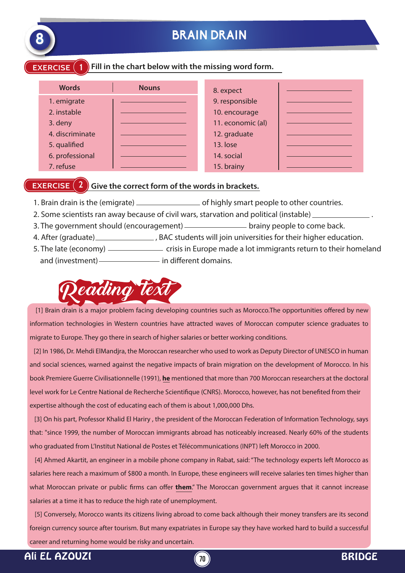

#### **EXERCISE** (1) Fill in the chart below with the missing word form.

| <b>Words</b>    | <b>Nouns</b> | 8. expect         |  |
|-----------------|--------------|-------------------|--|
|                 |              |                   |  |
| 1. emigrate     |              | 9. responsible    |  |
| 2. instable     |              | 10. encourage     |  |
| 3. deny         |              | 11. economic (al) |  |
| 4. discriminate |              | 12. graduate      |  |
| 5. qualified    |              | 13. lose          |  |
| 6. professional |              | 14. social        |  |
| 7. refuse       |              | 15. brainy        |  |

### **EXERCISE (2)** Give the correct form of the words in brackets.

- 1. Brain drain is the (emigrate) of highly smart people to other countries.
- 2. Some scientists ran away because of civil wars, starvation and political (instable) \_
- 3. The government should (encouragement) \_\_\_\_\_\_\_\_\_\_\_\_\_\_\_\_\_\_ brainy people to come back.
- 4. After (graduate) \_\_\_\_\_\_\_\_\_\_\_\_\_\_\_\_\_, BAC students will join universities for their higher education.
- 5. The late (economy) <sup>\_\_\_\_\_\_\_\_\_\_\_\_</sup> crisis in Europe made a lot immigrants return to their homeland and (investment) <u>in different domains</u>.



[1] Brain drain is a major problem facing developing countries such as Morocco.The opportunities offered by new information technologies in Western countries have attracted waves of Moroccan computer science graduates to migrate to Europe. They go there in search of higher salaries or better working conditions.

 [2] In 1986, Dr. Mehdi ElMandjra, the Moroccan researcher who used to work as Deputy Director of UNESCO in human and social sciences, warned against the negative impacts of brain migration on the development of Morocco. In his book Premiere Guerre Civilisationnelle (1991), **he** mentioned that more than 700 Moroccan researchers at the doctoral level work for Le Centre National de Recherche Scientifique (CNRS). Morocco, however, has not benefited from their expertise although the cost of educating each of them is about 1,000,000 Dhs.

 [3] On his part, Professor Khalid El Hariry , the president of the Moroccan Federation of Information Technology, says that: "since 1999, the number of Moroccan immigrants abroad has noticeably increased. Nearly 60% of the students who graduated from L'Institut National de Postes et Télécommunications (INPT) left Morocco in 2000.

 [4] Ahmed Akartit, an engineer in a mobile phone company in Rabat, said: "The technology experts left Morocco as salaries here reach a maximum of \$800 a month. In Europe, these engineers will receive salaries ten times higher than what Moroccan private or public firms can offer them." The Moroccan government argues that it cannot increase salaries at a time it has to reduce the high rate of unemployment.

 [5] Conversely, Morocco wants its citizens living abroad to come back although their money transfers are its second foreign currency source after tourism. But many expatriates in Europe say they have worked hard to build a successful career and returning home would be risky and uncertain.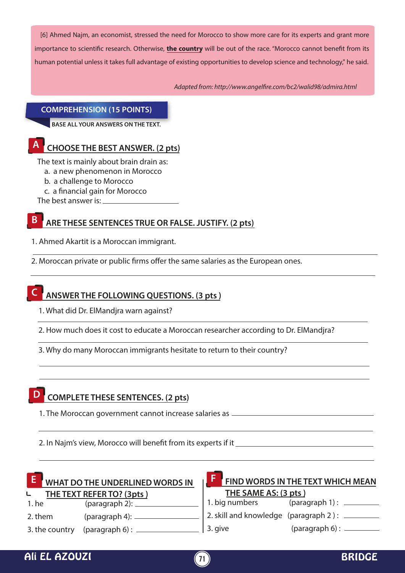[6] Ahmed Najm, an economist, stressed the need for Morocco to show more care for its experts and grant more importance to scientific research. Otherwise, the country will be out of the race. "Morocco cannot benefit from its human potential unless it takes full advantage of existing opportunities to develop science and technology," he said.

*Adapted from: http://www.angelre.com/bc2/walid98/admira.html*

#### **COMPREHENSION (15 POINTS)**

**BASE ALL YOUR ANSWERS ON THE TEXT.**

### **A CHOOSE THE BEST ANSWER. (2 pts)**

The text is mainly about brain drain as:

- a. a new phenomenon in Morocco
- b. a challenge to Morocco
- c. a financial gain for Morocco

The best answer is:

### **B ARE THESE SENTENCES TRUE OR FALSE. JUSTIFY. (2 pts)**

1. Ahmed Akartit is a Moroccan immigrant.

2. Moroccan private or public firms offer the same salaries as the European ones.

### **C ANSWER THE FOLLOWING QUESTIONS. (3 pts )**

1. What did Dr. ElMandjra warn against?

- 2. How much does it cost to educate a Moroccan researcher according to Dr. ElMandjra?
- 3. Why do many Moroccan immigrants hesitate to return to their country?

## **D COMPLETE THESE SENTENCES. (2 pts)**

1. The Moroccan government cannot increase salaries as

2. In Najm's view, Morocco will benefit from its experts if it \_\_\_\_\_\_\_\_\_\_\_\_

#### **E** WHAT DO THE UNDERLINED WORDS IN **FOR THE TEXT WHICH MEAN THE TEXT REFER TO? (3pts )** L 1. he (paragraph 2):

2. them (paragraph 4):

### 3. the country (paragraph 6) :

## **THE SAME AS: (3 pts ) F**

- 1. big numbers (paragraph 1) : \_\_\_\_\_\_\_\_\_
	-
- 2. skill and knowledge (paragraph 2): \_\_\_\_\_\_\_\_\_

# 3. give (paragraph 6) :

## Ali EL AZOUZI **71** BRIDGE